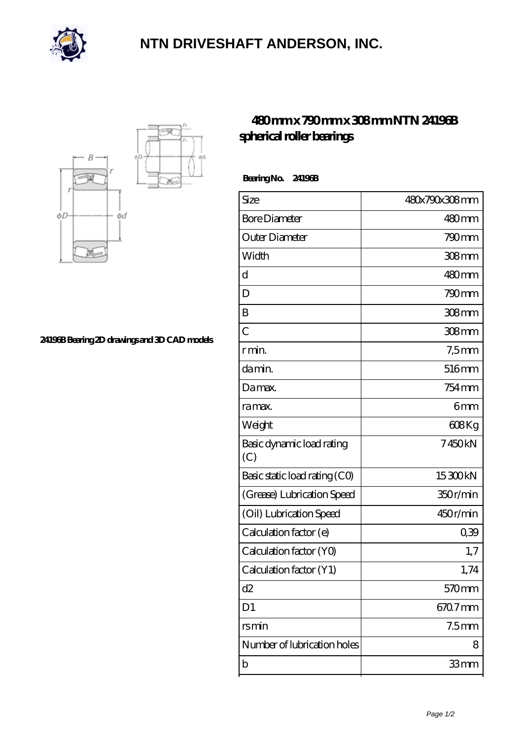

## **[NTN DRIVESHAFT ANDERSON, INC.](https://m.flash-igre.net)**



**[24196B Bearing 2D drawings and 3D CAD models](https://m.flash-igre.net/pic-438163.html)**

## **[480 mm x 790 mm x 308 mm NTN 24196B](https://m.flash-igre.net/bd-438163-ntn-24196b-spherical-roller-bearings.html) [spherical roller bearings](https://m.flash-igre.net/bd-438163-ntn-24196b-spherical-roller-bearings.html)**

 **Bearing No. 24196B**

| Size                             | 480x790x308mm     |
|----------------------------------|-------------------|
| <b>Bore Diameter</b>             | 480mm             |
| Outer Diameter                   | $790 \text{mm}$   |
| Width                            | 308mm             |
| d                                | 480mm             |
| D                                | 790mm             |
| B                                | 308 <sub>mm</sub> |
| $\overline{C}$                   | 308 <sub>mm</sub> |
| r min.                           | $7,5$ mm          |
| da min.                          | 516mm             |
| Damax.                           | 754 <sub>mm</sub> |
| ra max.                          | 6 <sub>mm</sub>   |
| Weight                           | $608$ Kg          |
| Basic dynamic load rating<br>(C) | 7450kN            |
| Basic static load rating (CO)    | 15300kN           |
| (Grease) Lubrication Speed       | 350r/min          |
| (Oil) Lubrication Speed          | 450r/min          |
| Calculation factor (e)           | 039               |
| Calculation factor (YO)          | 1,7               |
| Calculation factor (Y1)          | 1,74              |
| d2                               | 570 <sub>mm</sub> |
| D <sub>1</sub>                   | 670.7mm           |
| rsmin                            | 7.5 <sub>mm</sub> |
| Number of lubrication holes      | 8                 |
| b                                | 33mm              |